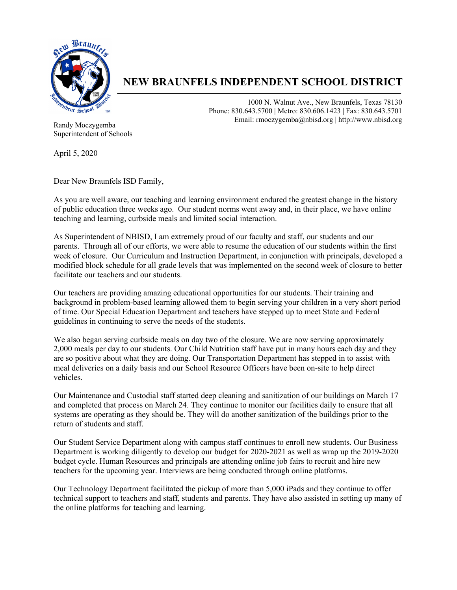

## **NEW BRAUNFELS INDEPENDENT SCHOOL DISTRICT**

1000 N. Walnut Ave., New Braunfels, Texas 78130 Phone: 830.643.5700 | Metro: 830.606.1423 | Fax: 830.643.5701 Email: rmoczygemba@nbisd.org | http://www.nbisd.org

Randy Moczygemba Superintendent of Schools

April 5, 2020

Dear New Braunfels ISD Family,

As you are well aware, our teaching and learning environment endured the greatest change in the history of public education three weeks ago. Our student norms went away and, in their place, we have online teaching and learning, curbside meals and limited social interaction.

As Superintendent of NBISD, I am extremely proud of our faculty and staff, our students and our parents. Through all of our efforts, we were able to resume the education of our students within the first week of closure. Our Curriculum and Instruction Department, in conjunction with principals, developed a modified block schedule for all grade levels that was implemented on the second week of closure to better facilitate our teachers and our students.

Our teachers are providing amazing educational opportunities for our students. Their training and background in problem-based learning allowed them to begin serving your children in a very short period of time. Our Special Education Department and teachers have stepped up to meet State and Federal guidelines in continuing to serve the needs of the students.

We also began serving curbside meals on day two of the closure. We are now serving approximately 2,000 meals per day to our students. Our Child Nutrition staff have put in many hours each day and they are so positive about what they are doing. Our Transportation Department has stepped in to assist with meal deliveries on a daily basis and our School Resource Officers have been on-site to help direct vehicles.

Our Maintenance and Custodial staff started deep cleaning and sanitization of our buildings on March 17 and completed that process on March 24. They continue to monitor our facilities daily to ensure that all systems are operating as they should be. They will do another sanitization of the buildings prior to the return of students and staff.

Our Student Service Department along with campus staff continues to enroll new students. Our Business Department is working diligently to develop our budget for 2020-2021 as well as wrap up the 2019-2020 budget cycle. Human Resources and principals are attending online job fairs to recruit and hire new teachers for the upcoming year. Interviews are being conducted through online platforms.

Our Technology Department facilitated the pickup of more than 5,000 iPads and they continue to offer technical support to teachers and staff, students and parents. They have also assisted in setting up many of the online platforms for teaching and learning.